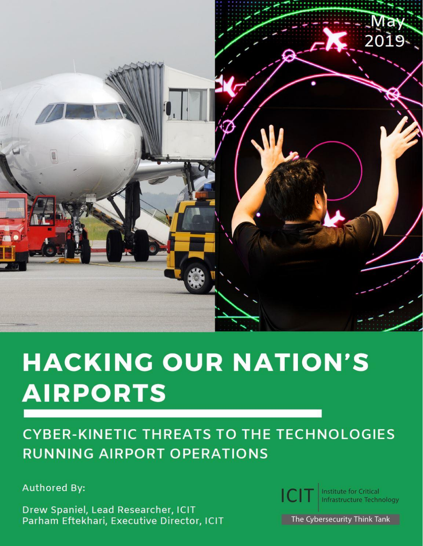

# HACKING OUR NATION'S **AIRPORTS**

# **CYBER-KINETIC THREATS TO THE TECHNOLOGIES RUNNING AIRPORT OPERATIONS**

**Authored By:** 

Drew Spaniel, Lead Researcher, ICIT Parham Eftekhari, Executive Director, ICIT



The Cybersecurity Think Tank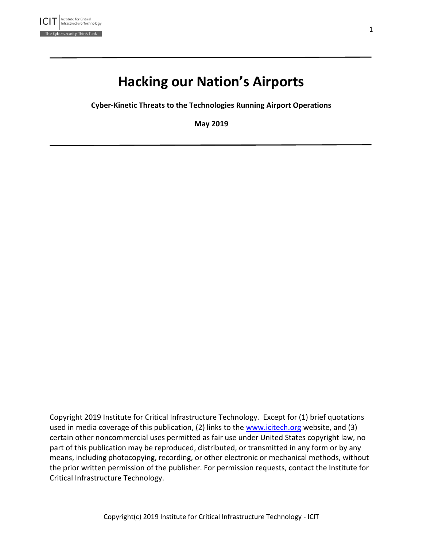

# **Hacking our Nation's Airports**

**Cyber-Kinetic Threats to the Technologies Running Airport Operations**

**May 2019**

Copyright 2019 Institute for Critical Infrastructure Technology. Except for (1) brief quotations used in media coverage of this publication, (2) links to the [www.icitech.org](http://www.icitech.org/) website, and (3) certain other noncommercial uses permitted as fair use under United States copyright law, no part of this publication may be reproduced, distributed, or transmitted in any form or by any means, including photocopying, recording, or other electronic or mechanical methods, without the prior written permission of the publisher. For permission requests, contact the Institute for Critical Infrastructure Technology.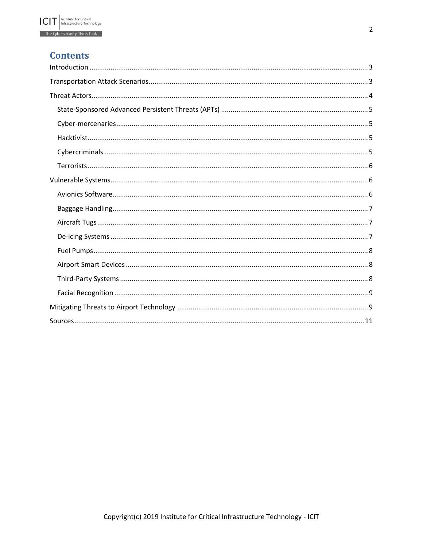

# **Contents**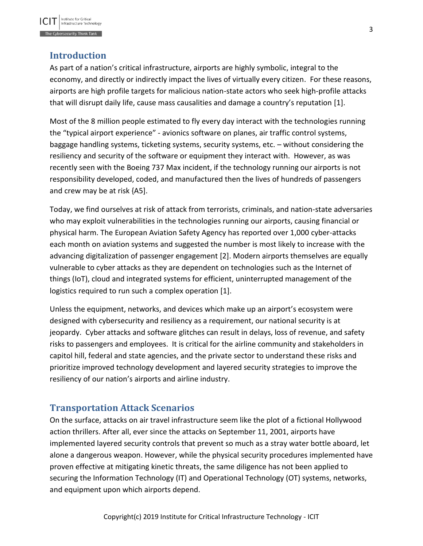# <span id="page-3-0"></span>**Introduction**

As part of a nation's critical infrastructure, airports are highly symbolic, integral to the economy, and directly or indirectly impact the lives of virtually every citizen. For these reasons, airports are high profile targets for malicious nation-state actors who seek high-profile attacks that will disrupt daily life, cause mass causalities and damage a country's reputation [1].

Most of the 8 million people estimated to fly every day interact with the technologies running the "typical airport experience" - avionics software on planes, air traffic control systems, baggage handling systems, ticketing systems, security systems, etc. – without considering the resiliency and security of the software or equipment they interact with. However, as was recently seen with the Boeing 737 Max incident, if the technology running our airports is not responsibility developed, coded, and manufactured then the lives of hundreds of passengers and crew may be at risk {A5].

Today, we find ourselves at risk of attack from terrorists, criminals, and nation-state adversaries who may exploit vulnerabilities in the technologies running our airports, causing financial or physical harm. The European Aviation Safety Agency has reported over 1,000 cyber-attacks each month on aviation systems and suggested the number is most likely to increase with the advancing digitalization of passenger engagement [2]. Modern airports themselves are equally vulnerable to cyber attacks as they are dependent on technologies such as the Internet of things (IoT), cloud and integrated systems for efficient, uninterrupted management of the logistics required to run such a complex operation [1].

Unless the equipment, networks, and devices which make up an airport's ecosystem were designed with cybersecurity and resiliency as a requirement, our national security is at jeopardy. Cyber attacks and software glitches can result in delays, loss of revenue, and safety risks to passengers and employees. It is critical for the airline community and stakeholders in capitol hill, federal and state agencies, and the private sector to understand these risks and prioritize improved technology development and layered security strategies to improve the resiliency of our nation's airports and airline industry.

# <span id="page-3-1"></span>**Transportation Attack Scenarios**

On the surface, attacks on air travel infrastructure seem like the plot of a fictional Hollywood action thrillers. After all, ever since the attacks on September 11, 2001, airports have implemented layered security controls that prevent so much as a stray water bottle aboard, let alone a dangerous weapon. However, while the physical security procedures implemented have proven effective at mitigating kinetic threats, the same diligence has not been applied to securing the Information Technology (IT) and Operational Technology (OT) systems, networks, and equipment upon which airports depend.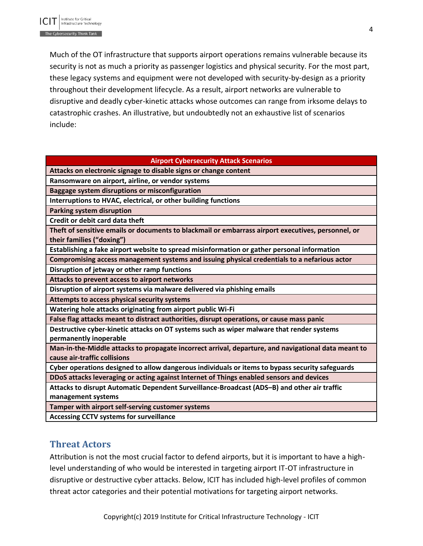Much of the OT infrastructure that supports airport operations remains vulnerable because its security is not as much a priority as passenger logistics and physical security. For the most part, these legacy systems and equipment were not developed with security-by-design as a priority throughout their development lifecycle. As a result, airport networks are vulnerable to disruptive and deadly cyber-kinetic attacks whose outcomes can range from irksome delays to catastrophic crashes. An illustrative, but undoubtedly not an exhaustive list of scenarios include:

#### **Airport Cybersecurity Attack Scenarios**

**Attacks on electronic signage to disable signs or change content**

**Ransomware on airport, airline, or vendor systems**

**Baggage system disruptions or misconfiguration**

**Interruptions to HVAC, electrical, or other building functions**

**Parking system disruption**

**Credit or debit card data theft**

**Theft of sensitive emails or documents to blackmail or embarrass airport executives, personnel, or their families ("doxing")**

**Establishing a fake airport website to spread misinformation or gather personal information**

**Compromising access management systems and issuing physical credentials to a nefarious actor Disruption of jetway or other ramp functions**

**Attacks to prevent access to airport networks**

**Disruption of airport systems via malware delivered via phishing emails**

**Attempts to access physical security systems**

**Watering hole attacks originating from airport public Wi-Fi**

**False flag attacks meant to distract authorities, disrupt operations, or cause mass panic**

**Destructive cyber-kinetic attacks on OT systems such as wiper malware that render systems permanently inoperable**

**Man-in-the-Middle attacks to propagate incorrect arrival, departure, and navigational data meant to cause air-traffic collisions**

**Cyber operations designed to allow dangerous individuals or items to bypass security safeguards DDoS attacks leveraging or acting against Internet of Things enabled sensors and devices**

**Attacks to disrupt Automatic Dependent Surveillance-Broadcast (ADS–B) and other air traffic management systems**

**Tamper with airport self-serving customer systems**

<span id="page-4-0"></span>**Accessing CCTV systems for surveillance**

# **Threat Actors**

Attribution is not the most crucial factor to defend airports, but it is important to have a highlevel understanding of who would be interested in targeting airport IT-OT infrastructure in disruptive or destructive cyber attacks. Below, ICIT has included high-level profiles of common threat actor categories and their potential motivations for targeting airport networks.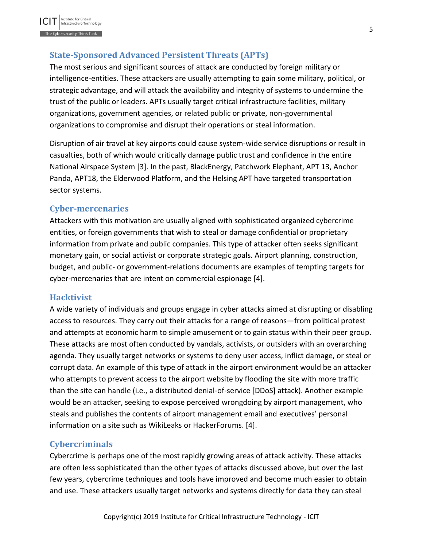# <span id="page-5-0"></span>**State-Sponsored Advanced Persistent Threats (APTs)**

The most serious and significant sources of attack are conducted by foreign military or intelligence-entities. These attackers are usually attempting to gain some military, political, or strategic advantage, and will attack the availability and integrity of systems to undermine the trust of the public or leaders. APTs usually target critical infrastructure facilities, military organizations, government agencies, or related public or private, non-governmental organizations to compromise and disrupt their operations or steal information.

Disruption of air travel at key airports could cause system-wide service disruptions or result in casualties, both of which would critically damage public trust and confidence in the entire National Airspace System [3]. In the past, BlackEnergy, Patchwork Elephant, APT 13, Anchor Panda, APT18, the Elderwood Platform, and the Helsing APT have targeted transportation sector systems.

#### <span id="page-5-1"></span>**Cyber-mercenaries**

Attackers with this motivation are usually aligned with sophisticated organized cybercrime entities, or foreign governments that wish to steal or damage confidential or proprietary information from private and public companies. This type of attacker often seeks significant monetary gain, or social activist or corporate strategic goals. Airport planning, construction, budget, and public- or government-relations documents are examples of tempting targets for cyber-mercenaries that are intent on commercial espionage [4].

#### <span id="page-5-2"></span>**Hacktivist**

A wide variety of individuals and groups engage in cyber attacks aimed at disrupting or disabling access to resources. They carry out their attacks for a range of reasons—from political protest and attempts at economic harm to simple amusement or to gain status within their peer group. These attacks are most often conducted by vandals, activists, or outsiders with an overarching agenda. They usually target networks or systems to deny user access, inflict damage, or steal or corrupt data. An example of this type of attack in the airport environment would be an attacker who attempts to prevent access to the airport website by flooding the site with more traffic than the site can handle (i.e., a distributed denial-of-service [DDoS] attack). Another example would be an attacker, seeking to expose perceived wrongdoing by airport management, who steals and publishes the contents of airport management email and executives' personal information on a site such as WikiLeaks or HackerForums. [4].

# <span id="page-5-3"></span>**Cybercriminals**

Cybercrime is perhaps one of the most rapidly growing areas of attack activity. These attacks are often less sophisticated than the other types of attacks discussed above, but over the last few years, cybercrime techniques and tools have improved and become much easier to obtain and use. These attackers usually target networks and systems directly for data they can steal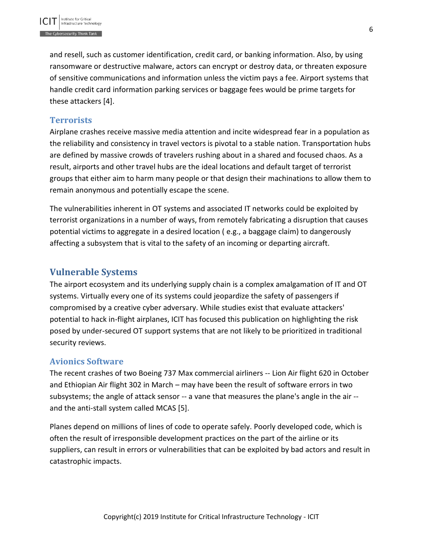and resell, such as customer identification, credit card, or banking information. Also, by using ransomware or destructive malware, actors can encrypt or destroy data, or threaten exposure of sensitive communications and information unless the victim pays a fee. Airport systems that handle credit card information parking services or baggage fees would be prime targets for these attackers [4].

# <span id="page-6-0"></span>**Terrorists**

Airplane crashes receive massive media attention and incite widespread fear in a population as the reliability and consistency in travel vectors is pivotal to a stable nation. Transportation hubs are defined by massive crowds of travelers rushing about in a shared and focused chaos. As a result, airports and other travel hubs are the ideal locations and default target of terrorist groups that either aim to harm many people or that design their machinations to allow them to remain anonymous and potentially escape the scene.

The vulnerabilities inherent in OT systems and associated IT networks could be exploited by terrorist organizations in a number of ways, from remotely fabricating a disruption that causes potential victims to aggregate in a desired location ( e.g., a baggage claim) to dangerously affecting a subsystem that is vital to the safety of an incoming or departing aircraft.

# <span id="page-6-1"></span>**Vulnerable Systems**

The airport ecosystem and its underlying supply chain is a complex amalgamation of IT and OT systems. Virtually every one of its systems could jeopardize the safety of passengers if compromised by a creative cyber adversary. While studies exist that evaluate attackers' potential to hack in-flight airplanes, ICIT has focused this publication on highlighting the risk posed by under-secured OT support systems that are not likely to be prioritized in traditional security reviews.

# <span id="page-6-2"></span>**Avionics Software**

The recent crashes of two Boeing 737 Max commercial airliners -- Lion Air flight 620 in October and Ethiopian Air flight 302 in March – may have been the result of software errors in two subsystems; the angle of attack sensor -- a vane that measures the plane's angle in the air - and the anti-stall system called MCAS [5].

Planes depend on millions of lines of code to operate safely. Poorly developed code, which is often the result of irresponsible development practices on the part of the airline or its suppliers, can result in errors or vulnerabilities that can be exploited by bad actors and result in catastrophic impacts.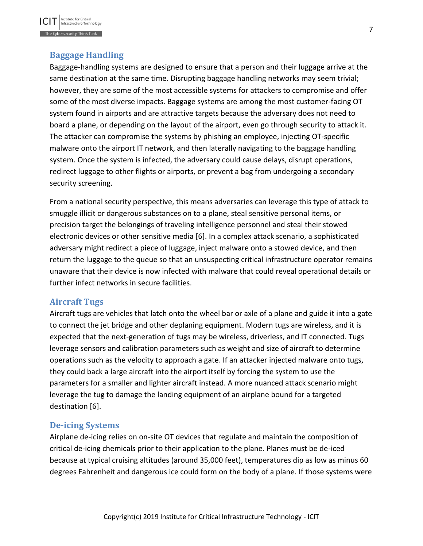### <span id="page-7-0"></span>**Baggage Handling**

Baggage-handling systems are designed to ensure that a person and their luggage arrive at the same destination at the same time. Disrupting baggage handling networks may seem trivial; however, they are some of the most accessible systems for attackers to compromise and offer some of the most diverse impacts. Baggage systems are among the most customer-facing OT system found in airports and are attractive targets because the adversary does not need to board a plane, or depending on the layout of the airport, even go through security to attack it. The attacker can compromise the systems by phishing an employee, injecting OT-specific malware onto the airport IT network, and then laterally navigating to the baggage handling system. Once the system is infected, the adversary could cause delays, disrupt operations, redirect luggage to other flights or airports, or prevent a bag from undergoing a secondary security screening.

From a national security perspective, this means adversaries can leverage this type of attack to smuggle illicit or dangerous substances on to a plane, steal sensitive personal items, or precision target the belongings of traveling intelligence personnel and steal their stowed electronic devices or other sensitive media [6]. In a complex attack scenario, a sophisticated adversary might redirect a piece of luggage, inject malware onto a stowed device, and then return the luggage to the queue so that an unsuspecting critical infrastructure operator remains unaware that their device is now infected with malware that could reveal operational details or further infect networks in secure facilities.

#### <span id="page-7-1"></span>**Aircraft Tugs**

Aircraft tugs are vehicles that latch onto the wheel bar or axle of a plane and guide it into a gate to connect the jet bridge and other deplaning equipment. Modern tugs are wireless, and it is expected that the next-generation of tugs may be wireless, driverless, and IT connected. Tugs leverage sensors and calibration parameters such as weight and size of aircraft to determine operations such as the velocity to approach a gate. If an attacker injected malware onto tugs, they could back a large aircraft into the airport itself by forcing the system to use the parameters for a smaller and lighter aircraft instead. A more nuanced attack scenario might leverage the tug to damage the landing equipment of an airplane bound for a targeted destination [6].

# <span id="page-7-2"></span>**De-icing Systems**

Airplane de-icing relies on on-site OT devices that regulate and maintain the composition of critical de-icing chemicals prior to their application to the plane. Planes must be de-iced because at typical cruising altitudes (around 35,000 feet), temperatures dip as low as minus 60 degrees Fahrenheit and dangerous ice could form on the body of a plane. If those systems were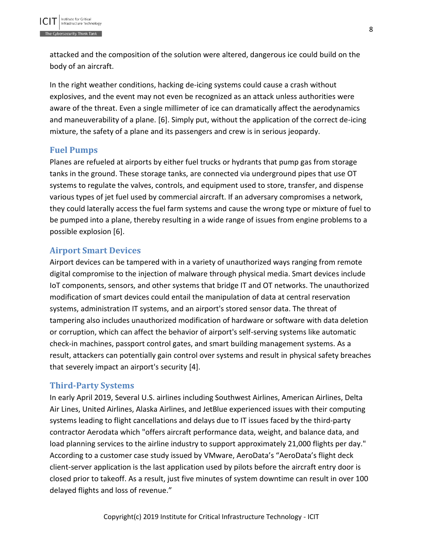attacked and the composition of the solution were altered, dangerous ice could build on the body of an aircraft.

In the right weather conditions, hacking de-icing systems could cause a crash without explosives, and the event may not even be recognized as an attack unless authorities were aware of the threat. Even a single millimeter of ice can dramatically affect the aerodynamics and maneuverability of a plane. [6]. Simply put, without the application of the correct de-icing mixture, the safety of a plane and its passengers and crew is in serious jeopardy.

#### <span id="page-8-0"></span>**Fuel Pumps**

Planes are refueled at airports by either fuel trucks or hydrants that pump gas from storage tanks in the ground. These storage tanks, are connected via underground pipes that use OT systems to regulate the valves, controls, and equipment used to store, transfer, and dispense various types of jet fuel used by commercial aircraft. If an adversary compromises a network, they could laterally access the fuel farm systems and cause the wrong type or mixture of fuel to be pumped into a plane, thereby resulting in a wide range of issues from engine problems to a possible explosion [6].

#### <span id="page-8-1"></span>**Airport Smart Devices**

Airport devices can be tampered with in a variety of unauthorized ways ranging from remote digital compromise to the injection of malware through physical media. Smart devices include IoT components, sensors, and other systems that bridge IT and OT networks. The unauthorized modification of smart devices could entail the manipulation of data at central reservation systems, administration IT systems, and an airport's stored sensor data. The threat of tampering also includes unauthorized modification of hardware or software with data deletion or corruption, which can affect the behavior of airport's self-serving systems like automatic check-in machines, passport control gates, and smart building management systems. As a result, attackers can potentially gain control over systems and result in physical safety breaches that severely impact an airport's security [4].

#### <span id="page-8-2"></span>**Third-Party Systems**

In early April 2019, Several U.S. airlines including Southwest Airlines, American Airlines, Delta Air Lines, United Airlines, Alaska Airlines, and JetBlue experienced issues with their computing systems leading to flight cancellations and delays due to IT issues faced by the third-party contractor Aerodata which "offers aircraft performance data, weight, and balance data, and load planning services to the airline industry to support approximately 21,000 flights per day." According to a customer case study issued by VMware, AeroData's "AeroData's flight deck client-server application is the last application used by pilots before the aircraft entry door is closed prior to takeoff. As a result, just five minutes of system downtime can result in over 100 delayed flights and loss of revenue."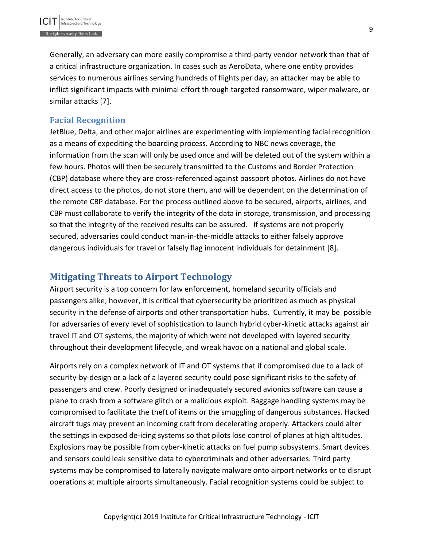Generally, an adversary can more easily compromise a third-party vendor network than that of a critical infrastructure organization. In cases such as AeroData, where one entity provides services to numerous airlines serving hundreds of flights per day, an attacker may be able to inflict significant impacts with minimal effort through targeted ransomware, wiper malware, or similar attacks [7].

#### <span id="page-9-0"></span>**Facial Recognition**

JetBlue, Delta, and other major airlines are experimenting with implementing facial recognition as a means of expediting the boarding process. According to NBC news coverage, the information from the scan will only be used once and will be deleted out of the system within a few hours. Photos will then be securely transmitted to the Customs and Border Protection (CBP) database where they are cross-referenced against passport photos. Airlines do not have direct access to the photos, do not store them, and will be dependent on the determination of the remote CBP database. For the process outlined above to be secured, airports, airlines, and CBP must collaborate to verify the integrity of the data in storage, transmission, and processing so that the integrity of the received results can be assured. If systems are not properly secured, adversaries could conduct man-in-the-middle attacks to either falsely approve dangerous individuals for travel or falsely flag innocent individuals for detainment [8].

# <span id="page-9-1"></span>**Mitigating Threats to Airport Technology**

Airport security is a top concern for law enforcement, homeland security officials and passengers alike; however, it is critical that cybersecurity be prioritized as much as physical security in the defense of airports and other transportation hubs. Currently, it may be possible for adversaries of every level of sophistication to launch hybrid cyber-kinetic attacks against air travel IT and OT systems, the majority of which were not developed with layered security throughout their development lifecycle, and wreak havoc on a national and global scale.

Airports rely on a complex network of IT and OT systems that if compromised due to a lack of security-by-design or a lack of a layered security could pose significant risks to the safety of passengers and crew. Poorly designed or inadequately secured avionics software can cause a plane to crash from a software glitch or a malicious exploit. Baggage handling systems may be compromised to facilitate the theft of items or the smuggling of dangerous substances. Hacked aircraft tugs may prevent an incoming craft from decelerating properly. Attackers could alter the settings in exposed de-icing systems so that pilots lose control of planes at high altitudes. Explosions may be possible from cyber-kinetic attacks on fuel pump subsystems. Smart devices and sensors could leak sensitive data to cybercriminals and other adversaries. Third party systems may be compromised to laterally navigate malware onto airport networks or to disrupt operations at multiple airports simultaneously. Facial recognition systems could be subject to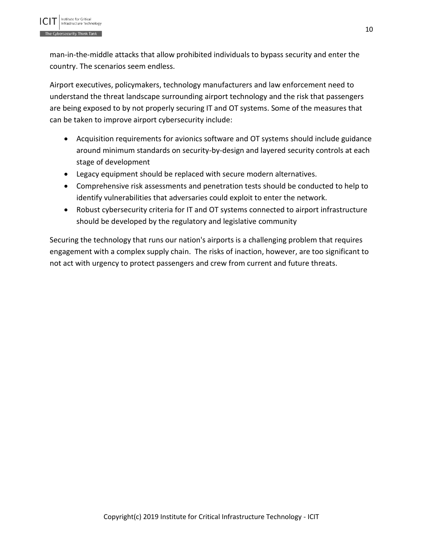man-in-the-middle attacks that allow prohibited individuals to bypass security and enter the country. The scenarios seem endless.

Airport executives, policymakers, technology manufacturers and law enforcement need to understand the threat landscape surrounding airport technology and the risk that passengers are being exposed to by not properly securing IT and OT systems. Some of the measures that can be taken to improve airport cybersecurity include:

- Acquisition requirements for avionics software and OT systems should include guidance around minimum standards on security-by-design and layered security controls at each stage of development
- Legacy equipment should be replaced with secure modern alternatives.
- Comprehensive risk assessments and penetration tests should be conducted to help to identify vulnerabilities that adversaries could exploit to enter the network.
- Robust cybersecurity criteria for IT and OT systems connected to airport infrastructure should be developed by the regulatory and legislative community

Securing the technology that runs our nation's airports is a challenging problem that requires engagement with a complex supply chain. The risks of inaction, however, are too significant to not act with urgency to protect passengers and crew from current and future threats.